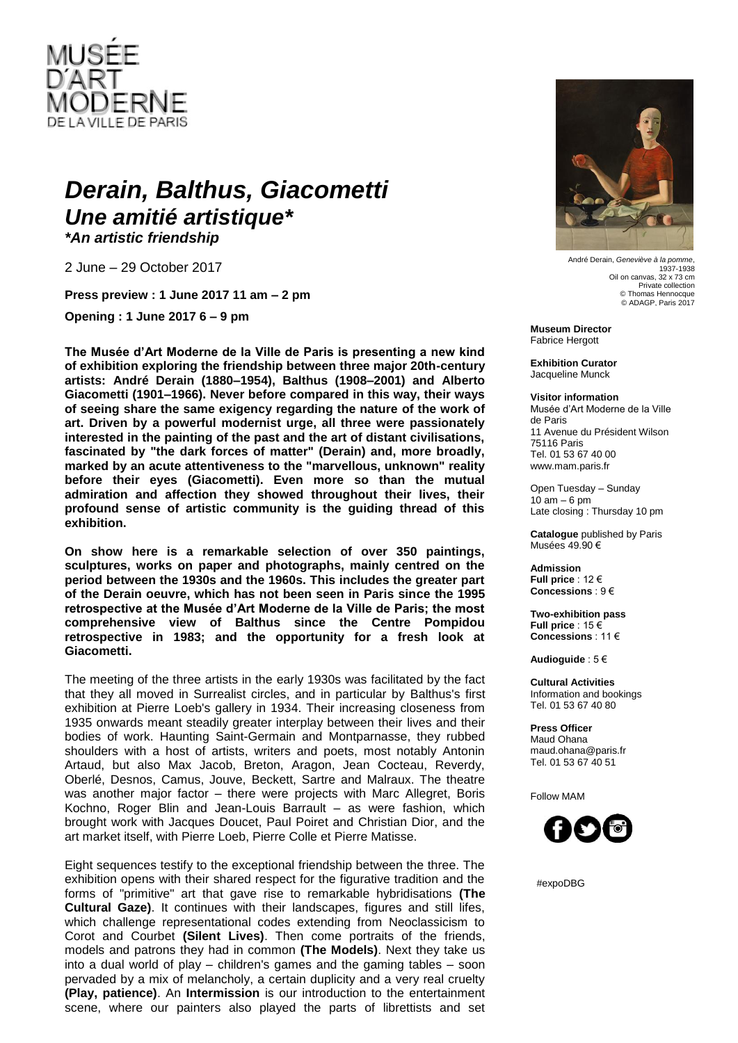

## *Derain, Balthus, Giacometti Une amitié artistique\**

*\*An artistic friendship*

2 June – 29 October 2017

**Press preview : 1 June 2017 11 am – 2 pm**

**Opening : 1 June 2017 6 – 9 pm**

**The Musée d'Art Moderne de la Ville de Paris is presenting a new kind of exhibition exploring the friendship between three major 20th-century artists: André Derain (1880–1954), Balthus (1908–2001) and Alberto Giacometti (1901–1966). Never before compared in this way, their ways of seeing share the same exigency regarding the nature of the work of art. Driven by a powerful modernist urge, all three were passionately interested in the painting of the past and the art of distant civilisations, fascinated by "the dark forces of matter" (Derain) and, more broadly, marked by an acute attentiveness to the "marvellous, unknown" reality before their eyes (Giacometti). Even more so than the mutual admiration and affection they showed throughout their lives, their profound sense of artistic community is the guiding thread of this exhibition.**

**On show here is a remarkable selection of over 350 paintings, sculptures, works on paper and photographs, mainly centred on the period between the 1930s and the 1960s. This includes the greater part of the Derain oeuvre, which has not been seen in Paris since the 1995 retrospective at the Musée d'Art Moderne de la Ville de Paris; the most comprehensive view of Balthus since the Centre Pompidou retrospective in 1983; and the opportunity for a fresh look at Giacometti.**

The meeting of the three artists in the early 1930s was facilitated by the fact that they all moved in Surrealist circles, and in particular by Balthus's first exhibition at Pierre Loeb's gallery in 1934. Their increasing closeness from 1935 onwards meant steadily greater interplay between their lives and their bodies of work. Haunting Saint-Germain and Montparnasse, they rubbed shoulders with a host of artists, writers and poets, most notably Antonin Artaud, but also Max Jacob, Breton, Aragon, Jean Cocteau, Reverdy, Oberlé, Desnos, Camus, Jouve, Beckett, Sartre and Malraux. The theatre was another major factor – there were projects with Marc Allegret, Boris Kochno, Roger Blin and Jean-Louis Barrault – as were fashion, which brought work with Jacques Doucet, Paul Poiret and Christian Dior, and the art market itself, with Pierre Loeb, Pierre Colle et Pierre Matisse.

Eight sequences testify to the exceptional friendship between the three. The exhibition opens with their shared respect for the figurative tradition and the forms of "primitive" art that gave rise to remarkable hybridisations **(The Cultural Gaze)**. It continues with their landscapes, figures and still lifes, which challenge representational codes extending from Neoclassicism to Corot and Courbet **(Silent Lives)**. Then come portraits of the friends, models and patrons they had in common **(The Models)**. Next they take us into a dual world of play – children's games and the gaming tables – soon pervaded by a mix of melancholy, a certain duplicity and a very real cruelty **(Play, patience)**. An **Intermission** is our introduction to the entertainment scene, where our painters also played the parts of librettists and set



André Derain, *Geneviève à la pomme*, 1937-1938 Oil on canvas, 32 x 73 cm Private collection © Thomas Hennocque © ADAGP, Paris 2017

**Museum Director** Fabrice Hergott

**Exhibition Curator** Jacqueline Munck

**Visitor information**

Musée d'Art Moderne de la Ville de Paris 11 Avenue du Président Wilson 75116 Paris Tel. 01 53 67 40 00 www.mam.paris.fr

Open Tuesday – Sunday  $10$  am  $-6$  pm Late closing : Thursday 10 pm

**Catalogue** published by Paris Musées 49.90 €

**Admission Full price** : 12 € **Concessions** : 9 €

**Two-exhibition pass Full price** : 15 € **Concessions** : 11 €

**Audioguide** : 5 €

**Cultural Activities** Information and bookings Tel. 01 53 67 40 80

**Press Officer** Maud Ohana maud.ohana@paris.fr Tel. 01 53 67 40 51

Follow MAM



#expoDBG